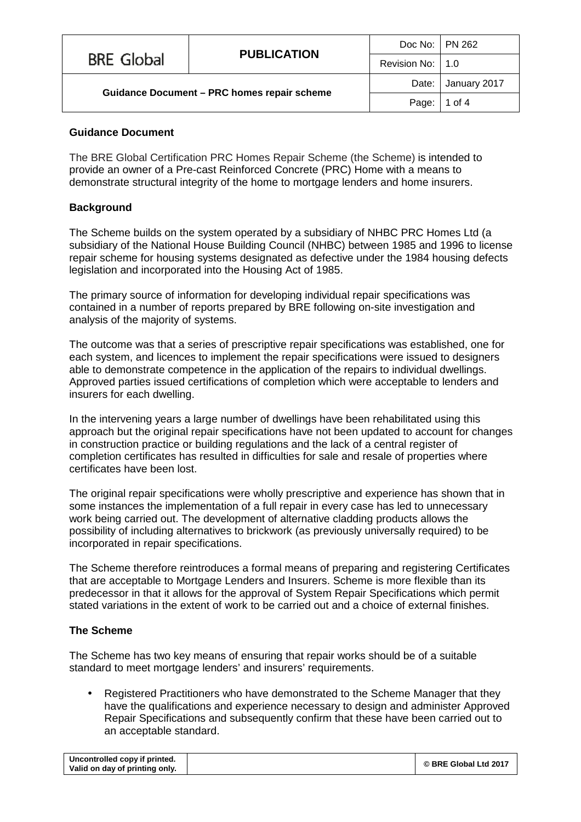|                                                    | <b>PUBLICATION</b> | Doc No:   PN 262   |                    |
|----------------------------------------------------|--------------------|--------------------|--------------------|
| <b>BRE Global</b>                                  |                    | Revision No:   1.0 |                    |
| <b>Guidance Document - PRC homes repair scheme</b> |                    |                    | Date: January 2017 |
|                                                    |                    | Page:              | 1 of 4             |

# **Guidance Document**

The BRE Global Certification PRC Homes Repair Scheme (the Scheme) is intended to provide an owner of a Pre-cast Reinforced Concrete (PRC) Home with a means to demonstrate structural integrity of the home to mortgage lenders and home insurers.

# **Background**

The Scheme builds on the system operated by a subsidiary of NHBC PRC Homes Ltd (a subsidiary of the National House Building Council (NHBC) between 1985 and 1996 to license repair scheme for housing systems designated as defective under the 1984 housing defects legislation and incorporated into the Housing Act of 1985.

The primary source of information for developing individual repair specifications was contained in a number of reports prepared by BRE following on-site investigation and analysis of the majority of systems.

The outcome was that a series of prescriptive repair specifications was established, one for each system, and licences to implement the repair specifications were issued to designers able to demonstrate competence in the application of the repairs to individual dwellings. Approved parties issued certifications of completion which were acceptable to lenders and insurers for each dwelling.

In the intervening years a large number of dwellings have been rehabilitated using this approach but the original repair specifications have not been updated to account for changes in construction practice or building regulations and the lack of a central register of completion certificates has resulted in difficulties for sale and resale of properties where certificates have been lost.

The original repair specifications were wholly prescriptive and experience has shown that in some instances the implementation of a full repair in every case has led to unnecessary work being carried out. The development of alternative cladding products allows the possibility of including alternatives to brickwork (as previously universally required) to be incorporated in repair specifications.

The Scheme therefore reintroduces a formal means of preparing and registering Certificates that are acceptable to Mortgage Lenders and Insurers. Scheme is more flexible than its predecessor in that it allows for the approval of System Repair Specifications which permit stated variations in the extent of work to be carried out and a choice of external finishes.

# **The Scheme**

The Scheme has two key means of ensuring that repair works should be of a suitable standard to meet mortgage lenders' and insurers' requirements.

Registered Practitioners who have demonstrated to the Scheme Manager that they have the qualifications and experience necessary to design and administer Approved Repair Specifications and subsequently confirm that these have been carried out to an acceptable standard.

| Uncontrolled copy if printed.  | © BRE Global Ltd 2017 |
|--------------------------------|-----------------------|
| Valid on day of printing only. |                       |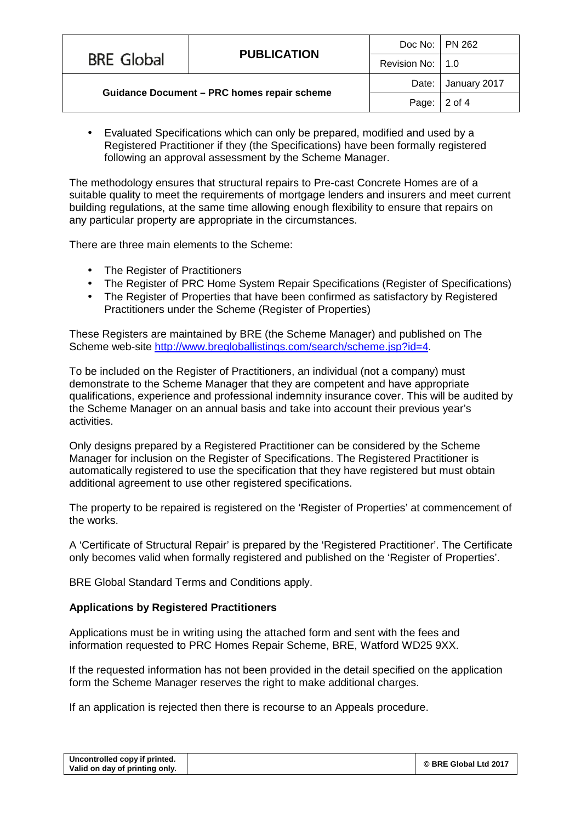|                                                    | <b>PUBLICATION</b> | Doc No:   PN 262   |                    |
|----------------------------------------------------|--------------------|--------------------|--------------------|
| <b>BRE Global</b>                                  |                    | Revision No:   1.0 |                    |
| <b>Guidance Document - PRC homes repair scheme</b> |                    |                    | Date: January 2017 |
|                                                    |                    | Page:              | 2 of 4             |

Evaluated Specifications which can only be prepared, modified and used by a Registered Practitioner if they (the Specifications) have been formally registered following an approval assessment by the Scheme Manager.

The methodology ensures that structural repairs to Pre-cast Concrete Homes are of a suitable quality to meet the requirements of mortgage lenders and insurers and meet current building regulations, at the same time allowing enough flexibility to ensure that repairs on any particular property are appropriate in the circumstances.

There are three main elements to the Scheme:

- $\mathcal{L}^{\mathcal{L}}$ The Register of Practitioners
- The Register of PRC Home System Repair Specifications (Register of Specifications)
- The Register of Properties that have been confirmed as satisfactory by Registered Practitioners under the Scheme (Register of Properties)

These Registers are maintained by BRE (the Scheme Manager) and published on The Scheme web-site <http://www.bregloballistings.com/search/scheme.jsp?id=4>.

To be included on the Register of Practitioners, an individual (not a company) must demonstrate to the Scheme Manager that they are competent and have appropriate qualifications, experience and professional indemnity insurance cover. This will be audited by the Scheme Manager on an annual basis and take into account their previous year's activities.

Only designs prepared by a Registered Practitioner can be considered by the Scheme Manager for inclusion on the Register of Specifications. The Registered Practitioner is automatically registered to use the specification that they have registered but must obtain additional agreement to use other registered specifications.

The property to be repaired is registered on the 'Register of Properties' at commencement of the works.

A 'Certificate of Structural Repair' is prepared by the 'Registered Practitioner'. The Certificate only becomes valid when formally registered and published on the 'Register of Properties'.

BRE Global Standard Terms and Conditions apply.

# **Applications by Registered Practitioners**

Applications must be in writing using the attached form and sent with the fees and information requested to PRC Homes Repair Scheme, BRE, Watford WD25 9XX.

If the requested information has not been provided in the detail specified on the application form the Scheme Manager reserves the right to make additional charges.

If an application is rejected then there is recourse to an Appeals procedure.

| Uncontrolled copy if printed.  | © BRE Global Ltd 2017 |
|--------------------------------|-----------------------|
| Valid on day of printing only. |                       |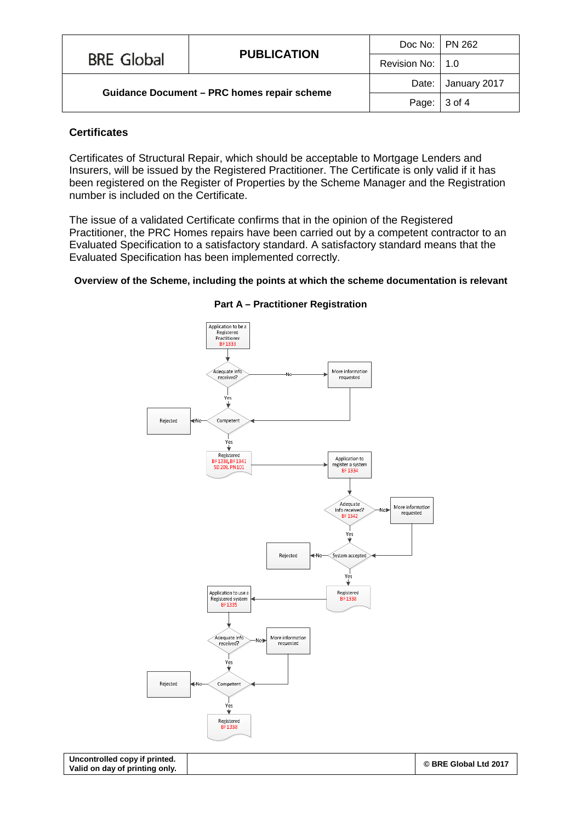|                                                    | <b>PUBLICATION</b> | Doc No:   PN 262   |                    |
|----------------------------------------------------|--------------------|--------------------|--------------------|
| <b>BRE Global</b>                                  |                    | Revision No:   1.0 |                    |
| <b>Guidance Document - PRC homes repair scheme</b> |                    |                    | Date: January 2017 |
|                                                    |                    | Page:              | 3 of 4             |

#### **Certificates**

Certificates of Structural Repair, which should be acceptable to Mortgage Lenders and Insurers, will be issued by the Registered Practitioner. The Certificate is only valid if it has been registered on the Register of Properties by the Scheme Manager and the Registration number is included on the Certificate.

The issue of a validated Certificate confirms that in the opinion of the Registered Practitioner, the PRC Homes repairs have been carried out by a competent contractor to an Evaluated Specification to a satisfactory standard. A satisfactory standard means that the Evaluated Specification has been implemented correctly.

#### **Overview of the Scheme, including the points at which the scheme documentation is relevant**



#### **Part A – Practitioner Registration**

**Uncontrolled copy if printed. Valid on day of printing only.**

**© BRE Global Ltd 2017**